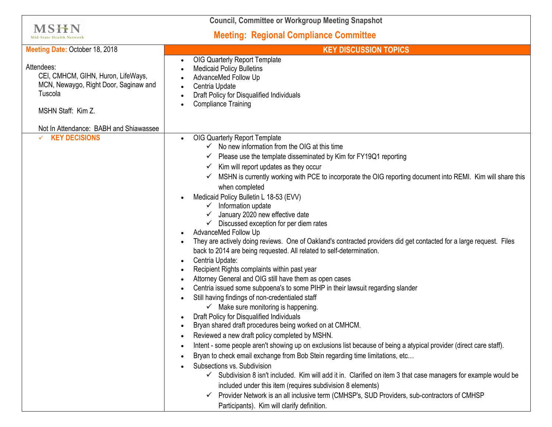| <b>Council, Committee or Workgroup Meeting Snapshot</b>                                                                    |                                                                                                                                                                                                                                                                                                                                                                                                                                                                                                                                                                                                                                                                                                                                                                                                                                                                                                                                                                                                                                                                                                                                                                                                                                                                                                                                                                                                                                                                                                                                                                                                                                                                                                                                                                                               |
|----------------------------------------------------------------------------------------------------------------------------|-----------------------------------------------------------------------------------------------------------------------------------------------------------------------------------------------------------------------------------------------------------------------------------------------------------------------------------------------------------------------------------------------------------------------------------------------------------------------------------------------------------------------------------------------------------------------------------------------------------------------------------------------------------------------------------------------------------------------------------------------------------------------------------------------------------------------------------------------------------------------------------------------------------------------------------------------------------------------------------------------------------------------------------------------------------------------------------------------------------------------------------------------------------------------------------------------------------------------------------------------------------------------------------------------------------------------------------------------------------------------------------------------------------------------------------------------------------------------------------------------------------------------------------------------------------------------------------------------------------------------------------------------------------------------------------------------------------------------------------------------------------------------------------------------|
| <b>MSHN</b><br><b>Mid-State Health Networl</b>                                                                             | <b>Meeting: Regional Compliance Committee</b>                                                                                                                                                                                                                                                                                                                                                                                                                                                                                                                                                                                                                                                                                                                                                                                                                                                                                                                                                                                                                                                                                                                                                                                                                                                                                                                                                                                                                                                                                                                                                                                                                                                                                                                                                 |
| Meeting Date: October 18, 2018                                                                                             | <b>KEY DISCUSSION TOPICS</b>                                                                                                                                                                                                                                                                                                                                                                                                                                                                                                                                                                                                                                                                                                                                                                                                                                                                                                                                                                                                                                                                                                                                                                                                                                                                                                                                                                                                                                                                                                                                                                                                                                                                                                                                                                  |
| Attendees:<br>CEI, CMHCM, GIHN, Huron, LifeWays,<br>MCN, Newaygo, Right Door, Saginaw and<br>Tuscola<br>MSHN Staff: Kim Z. | OIG Quarterly Report Template<br><b>Medicaid Policy Bulletins</b><br>AdvanceMed Follow Up<br>Centria Update<br>Draft Policy for Disqualified Individuals<br><b>Compliance Training</b>                                                                                                                                                                                                                                                                                                                                                                                                                                                                                                                                                                                                                                                                                                                                                                                                                                                                                                                                                                                                                                                                                                                                                                                                                                                                                                                                                                                                                                                                                                                                                                                                        |
| Not In Attendance: BABH and Shiawassee                                                                                     |                                                                                                                                                                                                                                                                                                                                                                                                                                                                                                                                                                                                                                                                                                                                                                                                                                                                                                                                                                                                                                                                                                                                                                                                                                                                                                                                                                                                                                                                                                                                                                                                                                                                                                                                                                                               |
| $\times$ KEY DECISIONS                                                                                                     | OIG Quarterly Report Template<br>No new information from the OIG at this time<br>Please use the template disseminated by Kim for FY19Q1 reporting<br>✔<br>Kim will report updates as they occur<br>✓<br>MSHN is currently working with PCE to incorporate the OIG reporting document into REMI. Kim will share this<br>when completed<br>Medicaid Policy Bulletin L 18-53 (EVV)<br>Information update<br>$\checkmark$<br>January 2020 new effective date<br>Discussed exception for per diem rates<br>AdvanceMed Follow Up<br>They are actively doing reviews. One of Oakland's contracted providers did get contacted for a large request. Files<br>back to 2014 are being requested. All related to self-determination.<br>Centria Update:<br>Recipient Rights complaints within past year<br>Attorney General and OIG still have them as open cases<br>Centria issued some subpoena's to some PIHP in their lawsuit regarding slander<br>Still having findings of non-credentialed staff<br>$\checkmark$ Make sure monitoring is happening.<br>Draft Policy for Disqualified Individuals<br>Bryan shared draft procedures being worked on at CMHCM.<br>Reviewed a new draft policy completed by MSHN.<br>Intent - some people aren't showing up on exclusions list because of being a atypical provider (direct care staff).<br>Bryan to check email exchange from Bob Stein regarding time limitations, etc<br>Subsections vs. Subdivision<br>✓ Subdivision 8 isn't included. Kim will add it in. Clarified on item 3 that case managers for example would be<br>included under this item (requires subdivision 8 elements)<br>Provider Network is an all inclusive term (CMHSP's, SUD Providers, sub-contractors of CMHSP<br>$\checkmark$<br>Participants). Kim will clarify definition. |